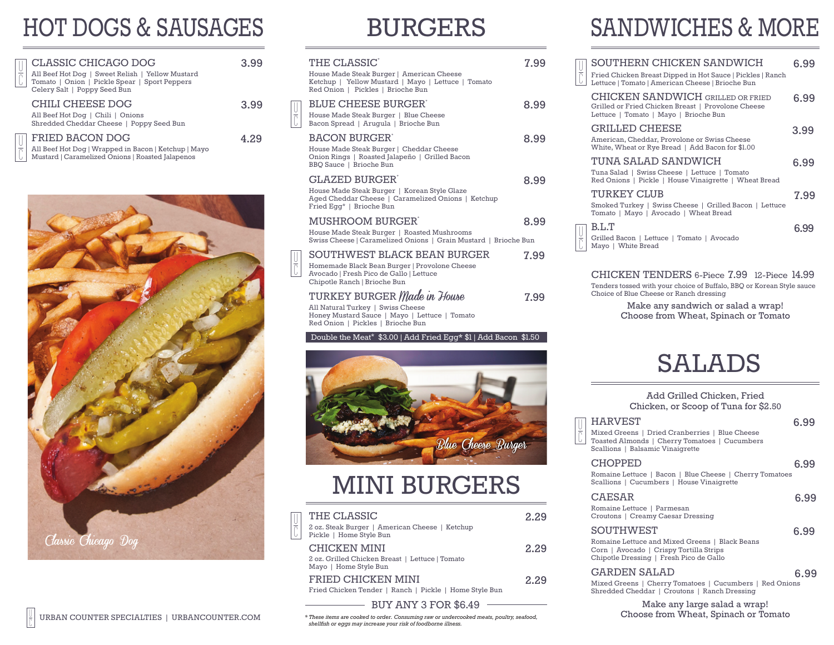# HOT DOGS & SAUSAGES

| U | CLASSIC CHICAGO DOG<br>All Beef Hot Dog   Sweet Relish   Yellow Mustard<br>Tomato   Onion   Pickle Spear   Sport Peppers<br>Celery Salt   Poppy Seed Bun | 3.99 |
|---|----------------------------------------------------------------------------------------------------------------------------------------------------------|------|
|   | CHILI CHEESE DOG<br>All Beef Hot Dog   Chili   Onions<br>Shredded Cheddar Cheese   Poppy Seed Bun                                                        | 3.99 |
|   | FRIED BACON DOG<br>all Roof Hot Dog   Wrappod in Bagon   Kotchun   Mayo                                                                                  | 4.29 |

All Beef Hot Dog | Wrapped in Bacon | Ketchup | Mayo Mustard | Caramelized Onions | Roasted Jalapenos  $\frac{1}{2}$ 



### BURGERS

| THE CLASSIC <sup>®</sup><br>House Made Steak Burger   American Cheese<br>Ketchup   Yellow Mustard   Mayo   Lettuce   Tomato<br>Red Onion   Pickles   Brioche Bun | 7.99 |
|------------------------------------------------------------------------------------------------------------------------------------------------------------------|------|
| <b>BLUE CHEESE BURGER'</b><br>House Made Steak Burger   Blue Cheese<br>Bacon Spread   Arugula   Brioche Bun                                                      | 8.99 |
| <b>BACON BURGER</b><br>House Made Steak Burger   Cheddar Cheese<br>Onion Rings   Roasted Jalapeño   Grilled Bacon<br>BBO Sauce   Brioche Bun                     | 8.99 |
| <b>GLAZED BURGER</b><br>House Made Steak Burger   Korean Style Glaze<br>Aged Cheddar Cheese   Caramelized Onions   Ketchup<br>Fried Egg*   Brioche Bun           | 8.99 |
| MUSHROOM BURGER'<br>House Made Steak Burger   Roasted Mushrooms<br>Swiss Cheese   Caramelized Onions   Grain Mustard   Brioche Bun                               | 8.99 |
| SOUTHWEST BLACK BEAN BURGER<br>Homemade Black Bean Burger   Provolone Cheese<br>Avocado   Fresh Pico de Gallo   Lettuce<br>Chipotle Ranch   Brioche Bun          | 7.99 |
| TURKEY BURGER <i>Made in House</i><br>All Natural Turkey   Swiss Cheese<br>Honey Mustard Sauce   Mayo   Lettuce   Tomato<br>Red Onion   Pickles   Brioche Bun    | 7.99 |

Double the Meat\* \$3.00 | Add Fried Egg\* \$1 | Add Bacon \$1.50



### MINI BURGERS

| č | THE CLASSIC<br>2 oz. Steak Burger   American Cheese   Ketchup<br>Pickle   Home Style Bun        | 2.29 |
|---|-------------------------------------------------------------------------------------------------|------|
|   | <b>CHICKEN MINI</b><br>2 oz. Grilled Chicken Breast   Lettuce   Tomato<br>Mayo   Home Style Bun | 2.29 |
|   | FRIED CHICKEN MINI<br>Fried Chicken Tender   Ranch   Pickle   Home Style Bun                    | 2.29 |
|   | <b>BUY ANY 3 FOR \$6.49</b>                                                                     |      |

*\* These items are cooked to order. Consuming raw or undercooked meats, poultry, seafood, shellfish or eggs may increase your risk of foodborne illness.*

# SANDWICHES & MORE

| SOUTHERN CHICKEN SANDWICH<br>Fried Chicken Breast Dipped in Hot Sauce   Pickles   Ranch<br>Lettuce   Tomato   American Cheese   Brioche Bun<br>CHICKEN SANDWICH GRILLED OR FRIED<br>Grilled or Fried Chicken Breast   Provolone Cheese<br>Lettuce   Tomato   Mayo   Brioche Bun<br><b>GRILLED CHEESE</b><br>3.99<br>American, Cheddar, Provolone or Swiss Cheese<br>White, Wheat or Rye Bread   Add Bacon for \$1.00<br>TUNA SALAD SANDWICH<br>Tuna Salad   Swiss Cheese   Lettuce   Tomato<br>Red Onions   Pickle   House Vinaigrette   Wheat Bread<br>TURKEY CLUB<br>Smoked Turkey   Swiss Cheese   Grilled Bacon   Lettuce<br>Tomato   Mayo   Avocado   Wheat Bread<br>B.L.T<br>6.99<br>Grilled Bacon   Lettuce   Tomato   Avocado<br>Mayo   White Bread |  |      |
|-------------------------------------------------------------------------------------------------------------------------------------------------------------------------------------------------------------------------------------------------------------------------------------------------------------------------------------------------------------------------------------------------------------------------------------------------------------------------------------------------------------------------------------------------------------------------------------------------------------------------------------------------------------------------------------------------------------------------------------------------------------|--|------|
|                                                                                                                                                                                                                                                                                                                                                                                                                                                                                                                                                                                                                                                                                                                                                             |  | ճ 99 |
|                                                                                                                                                                                                                                                                                                                                                                                                                                                                                                                                                                                                                                                                                                                                                             |  | 6.99 |
|                                                                                                                                                                                                                                                                                                                                                                                                                                                                                                                                                                                                                                                                                                                                                             |  |      |
|                                                                                                                                                                                                                                                                                                                                                                                                                                                                                                                                                                                                                                                                                                                                                             |  | ճ 99 |
|                                                                                                                                                                                                                                                                                                                                                                                                                                                                                                                                                                                                                                                                                                                                                             |  | 7.99 |
|                                                                                                                                                                                                                                                                                                                                                                                                                                                                                                                                                                                                                                                                                                                                                             |  |      |

CHICKEN TENDERS 6-Piece 7.99 12-Piece 14.99 Tenders tossed with your choice of Buffalo, BBQ or Korean Style sauce Choice of Blue Cheese or Ranch dressing

> Make any sandwich or salad a wrap! Choose from Wheat, Spinach or Tomato

### SALADS

| Add Grilled Chicken, Fried           |      |
|--------------------------------------|------|
| Chicken, or Scoop of Tuna for \$2.50 |      |
| HARVEST                              | 6.99 |

u c

| Mixed Greens   Dried Cranberries   Blue Cheese<br>Toasted Almonds   Cherry Tomatoes   Cucumbers<br>Scallions   Balsamic Vinaigrette                      |      |
|----------------------------------------------------------------------------------------------------------------------------------------------------------|------|
| <b>CHOPPED</b><br>Romaine Lettuce   Bacon   Blue Cheese   Cherry Tomatoes<br>Scallions   Cucumbers   House Vinaigrette                                   | 6.99 |
| <b>CAESAR</b><br>Romaine Lettuce   Parmesan<br>Croutons   Creamy Caesar Dressing                                                                         | 6.99 |
| <b>SOUTHWEST</b><br>Romaine Lettuce and Mixed Greens   Black Beans<br>Corn   Avocado   Crispy Tortilla Strips<br>Chipotle Dressing   Fresh Pico de Gallo | 6.99 |
| <b>GARDEN SALAD</b><br>י הורחו והוויחד והיוחד והו                                                                                                        | 6.99 |

Mixed Greens | Cherry Tomatoes | Cucumbers | Red Onions Shredded Cheddar | Croutons | Ranch Dressing

Make any large salad a wrap! Choose from Wheat, Spinach or Tomato

u